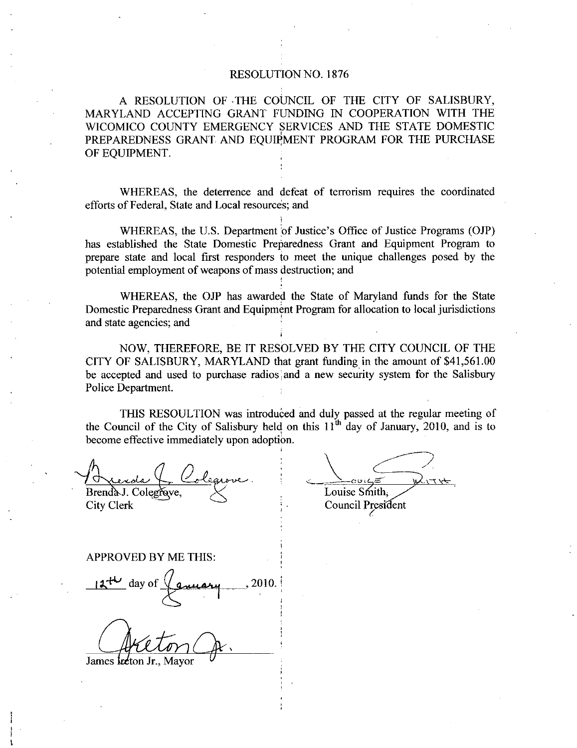## RESOLUTION NO 1876

A RESOLUTION OF THE COUNCIL OF THE CITY OF SALISBURY, MARYLAND ACCEPTING GRANT FUNDING IN COOPERATION WITH THE WICOMICO COUNTY EMERGENCY SERVICES AND THE STATE DOMESTIC PREPAREDNESS GRANT AND EQUIPMENT PROGRAM FOR THE PURCHASE OF EQUIPMENT

WHEREAS, the deterrence and defeat of terrorism requires the coordinated efforts of Federal. State and Local resources; and

WHEREAS, the U.S. Department of Justice's Office of Justice Programs (OJP) has established the State Domestic Prepazedness Grant and Equipment Program to prepare state and local first responders to meet the unique challenges posed by the potential employment of weapons of mass destruction; and

WHEREAS, the OJP has awarded the State of Maryland funds for the State Domestic Prepazedness Grant and Equipment Program for allocation to local jurisdictions and state agencies; and

NOW, THEREFORE, BE IT RESOLVED BY THE CITY COUNCIL OF THE CITY OF SALISBURY, MARYLAND that grant funding in the amount of  $$41,561.00$ be accepted and used to purchase radios and a new security system for the Salisbury Police Department

THIS RESOULTION was introduced and duly passed at the regulaz meeting of the Council of the City of Salisbury held on this  $11^{th}$  day of January, 2010, and is to become effective immediately upon adoption

Brenda J. Colegrave. City Clerk

Louise Smith. Council President

APPROVED BY ME THIS

James Inteton Jr.,

i

 $12^{4U}$  day of  $(2u \mu u, 2010)$ )<br>S<br>S